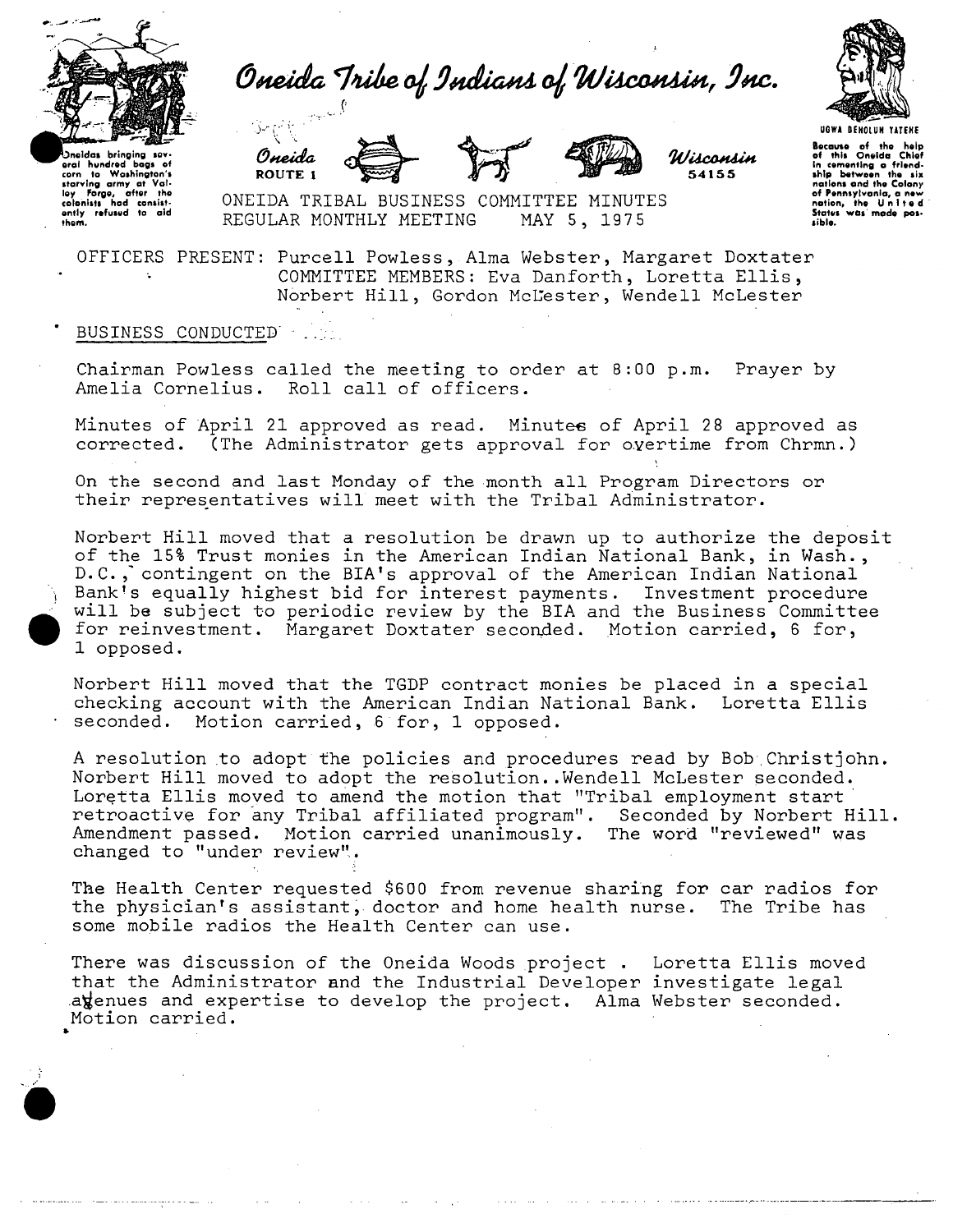

Oneida Tribe of Indians of Wisconsin, Inc.









Because of the help<br>of this Oneida Chief<br>in cementing a friend-<br>ship between the six nations and the Colony of Pennsylvania, a new<br>nation, the United<br>States was made pos-<br>sible.

noidas bringing sov oral hundred bags of<br>corn to Washington's corn to Washington's<br>starving army at Val-<br>ley forge, after the<br>colonists hod consist-<br>ently refused to aid<br>them.

ONEIDA TRIBAL BUSINESS COMMITTEE MINUTES REGULAR MONTHLY MEETING MAY 5, 1975

OFFICERS PRESENT: Purcell Powless, Alma Webster, Margaret Doxtater COMMITTEE MEMBERS: Eva Danforth , Loretta Ellis, Norbert Hill, Gordon McLester, Wendell McLester

## BUSINESS CONDUCTED' .

ROUTE 1

Chairman Powless called the meeting to order at 8:00 p.m. Prayer by Amelia Cornelius. Roll call of officers.

Minutes of April 21 approved as read. Minutes of April 28 approved as corrected. (The Administrator gets approval for overtime from Chrmn.)

On the second and last Monday of the month all Program Directors or their representatives will meet with the Tribal Administrator.

Norbert Hill moved that a resolution be drawn up to authorize the deposit of the 15% Trust monies in the American Indian National Bank, in Wash., D.C., contingent on the BIA's approval of the American Indian National Bank's equally highest bid for interest payments. Investment procedure will be subject to periodic review by the BIA and the Business Committee for reinvestment. Margaret Doxtater seconded. Motion carried, 6 for, 1 opposed.

Norbert Hill moved that the TGDP contract monies be placed in a special checking account with the American Indian National Bank. Loretta Ellis seconded. Motion carried, 6 for, 1 opposed.

A resolution to adopt the policies and procedures read by Bob.Christjohn. Norbert Hill moved to adopt the resolution..Wendell McLester seconded. Loretta Ellis moved to amend the motion that "Tribal employment start retroactive for any Tribal affiliated program". Seconded by Norbert Hill. Amendment passed. Motion carried unanimously. The word "reviewed" was changed to "under review".

The Health Center requested \$600 from revenue sharing for car radios for the physician's assistant, doctor and home health nurse. The Tribe has some mobile radios the Health Center can use.

There was discussion of the Oneida Woods project . Loretta Ellis moved that the Administrator and the Industrial Developer investigate legal atenues and expertise to develop the project. Alma Webster seconded. Motion carried.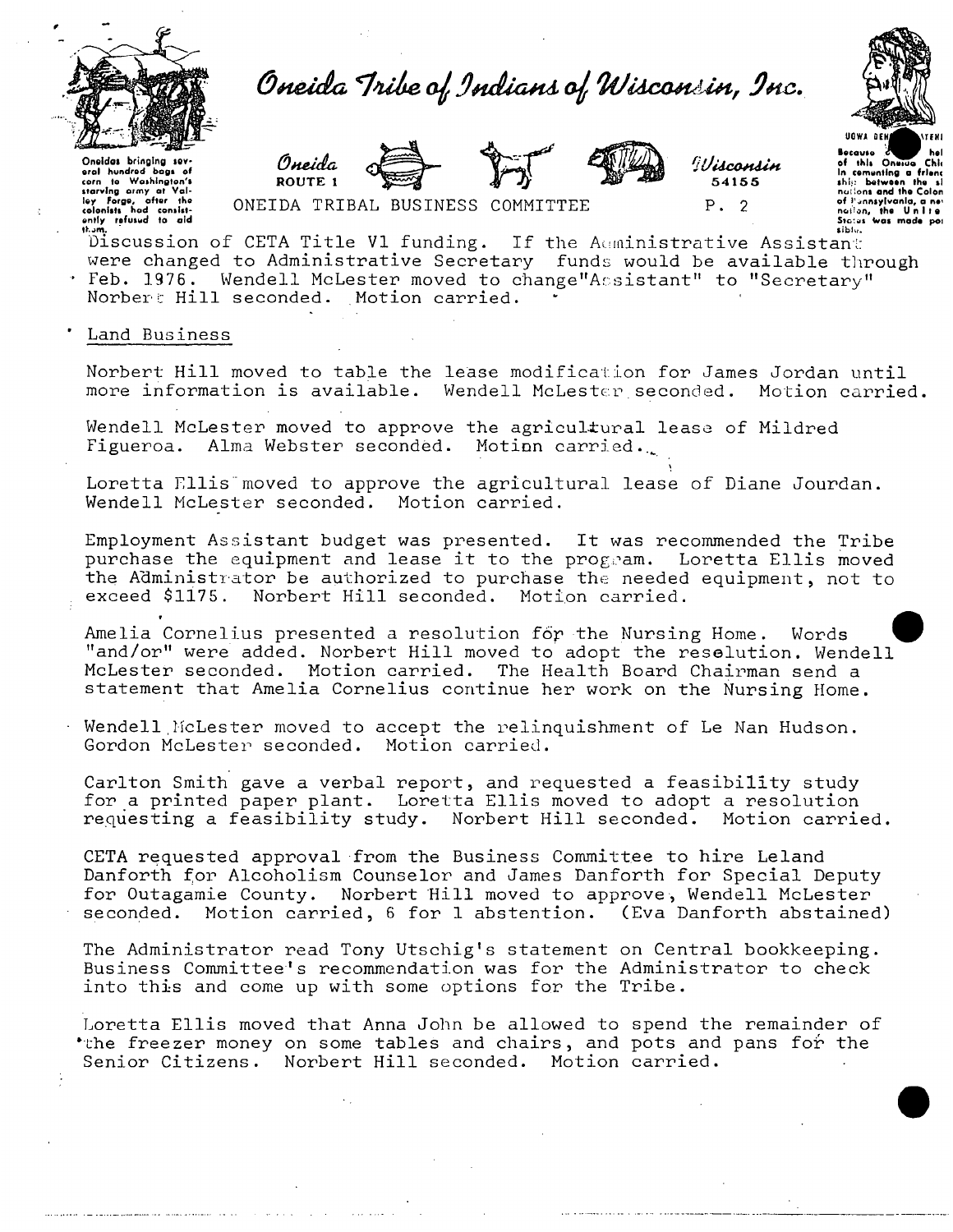

Oneida Tribe of Indians of Wisconsin, Inc.







!!Jisconsin 54155  $P. 2$ 

University of the control of the control of the control of the control of the control of the colonist had contained the colonist the colonist the control of the colonist the control of the control of the control of the con

ONEIDA TRIBAL BUSINESS COMMITTEE

of this Onevice Chie the computing a friend nations and the Colon<br>of Pinnsylvania, a new<br>nation, the Unite<br>Status was made por

Discussion of CETA Title V1 funding. If the Auministrative Assistant were changed to Administrative Secretary funds would be available through Feb. 1976. Wendell McLester moved to change"Assistant" to "Secretary" Norber: Hill seconded. Motion carried.

Land Business

Norbert Hill moved to table the lease modification for James Jordan until more information is available. Wendell McLester seconded. Motion carried.

Wendell McLester moved to approve the agricultural lease of Mildred Figueroa. Alma Webster seconded. Motion carried.

Loretta Filis moved to approve the agricultural lease of Diane Jourdan. Wendell McLester seconded. Motion carried.

Employment Assistant budget was presented. It was recommended the Tribe purchase the equipment and lease it to the program. Loretta Ellis moved the Administrator be authorized to purchase the needed equipment, not to exceed \$1175. Norbert Hill seconded. Motion carried.

Amelia Cornelius presented a resolution for the Nursing Home. Words "and/or" were added. Norbert Hill moved to adopt the resolution. Wendell McLester seconded. Motion carried. The Health Board Chairman send a statement that Amelia Cornelius continue her work on the Nursing Home.

Wendell McLester moved to accept the relinquishment of Le Nan Hudson. Gordon McLester seconded. Motion carried.

Carlton Smith gave a verbal report, and requested a feasibility study for a printed paper plant. Loretta Ellis moved to adopt a resolution requesting a feasibility study. Norbert Hill seconded. Motion carried.

CETA requested approval from the Business Committee to hire Leland Danforth for Alcoholism Counselor and James Danforth for Special Deputy for Outagamie County. Norbert Hill moved to approve, Wendell McLester seconded. Motion carried, 6 for 1 abstention. (Eva Danforth abstained)

The Administrator read Tony Utschig's statement on Central bookkeeping. Business Committee's recommendation was for the Administrator to check into this and come up with some options for the Tribe.

Loretta Ellis moved that Anna John be allowed to spend the remainder of \*the freezer money on some tables and chairs, and pots and pans for the Senior Citizens. Norbert Hill seconded. Motion carried.